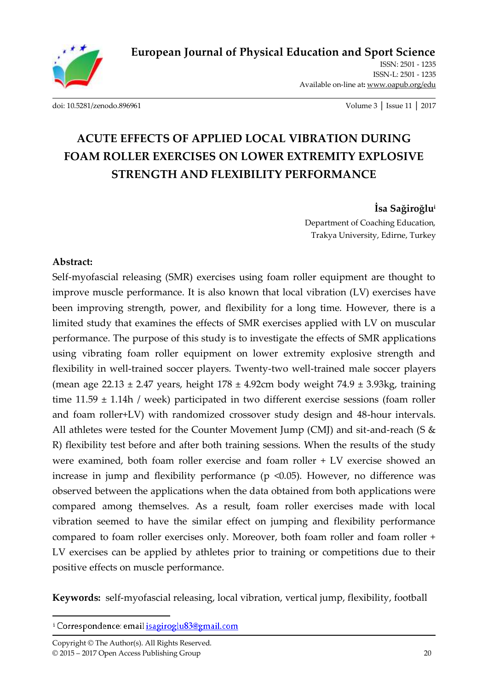

ISSN: 2501 - 1235 ISSN-L: 2501 - 1235 Available on-line at**:** [www.oapub.org/edu](http://www.oapub.org/edu)

[doi: 10.5281/zenodo.896961](http://dx.doi.org/10.5281/zenodo.896961) Volume 3 │ Issue 11 │ 2017

# **ACUTE EFFECTS OF APPLIED LOCAL VIBRATION DURING FOAM ROLLER EXERCISES ON LOWER EXTREMITY EXPLOSIVE STRENGTH AND FLEXIBILITY PERFORMANCE**

**İsa Sağiroğlu<sup>i</sup>**

Department of Coaching Education, Trakya University, Edirne, Turkey

#### **Abstract:**

Self-myofascial releasing (SMR) exercises using foam roller equipment are thought to improve muscle performance. It is also known that local vibration (LV) exercises have been improving strength, power, and flexibility for a long time. However, there is a limited study that examines the effects of SMR exercises applied with LV on muscular performance. The purpose of this study is to investigate the effects of SMR applications using vibrating foam roller equipment on lower extremity explosive strength and flexibility in well-trained soccer players. Twenty-two well-trained male soccer players (mean age 22.13  $\pm$  2.47 years, height 178  $\pm$  4.92cm body weight 74.9  $\pm$  3.93kg, training time 11.59 ± 1.14h / week) participated in two different exercise sessions (foam roller and foam roller+LV) with randomized crossover study design and 48-hour intervals. All athletes were tested for the Counter Movement Jump (CMJ) and sit-and-reach (S & R) flexibility test before and after both training sessions. When the results of the study were examined, both foam roller exercise and foam roller + LV exercise showed an increase in jump and flexibility performance ( $p \le 0.05$ ). However, no difference was observed between the applications when the data obtained from both applications were compared among themselves. As a result, foam roller exercises made with local vibration seemed to have the similar effect on jumping and flexibility performance compared to foam roller exercises only. Moreover, both foam roller and foam roller + LV exercises can be applied by athletes prior to training or competitions due to their positive effects on muscle performance.

**Keywords:** self-myofascial releasing, local vibration, vertical jump, flexibility, football

<sup>&</sup>lt;sup>i</sup> Correspondence: email isagiroglu83@gmail.com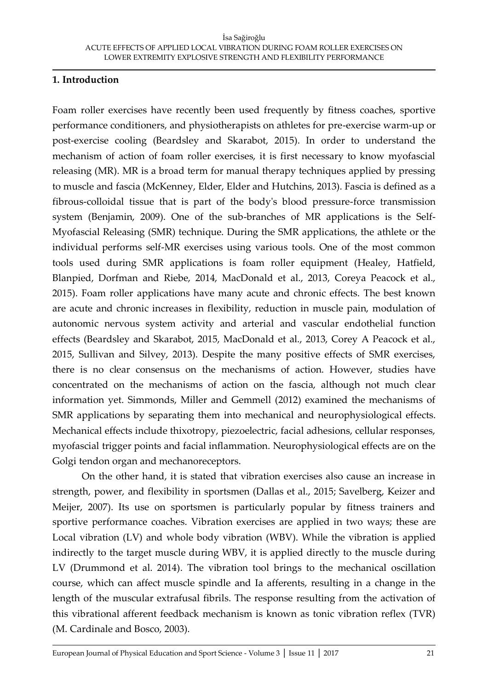#### **1. Introduction**

Foam roller exercises have recently been used frequently by fitness coaches, sportive performance conditioners, and physiotherapists on athletes for pre-exercise warm-up or post-exercise cooling (Beardsley and Skarabot, 2015). In order to understand the mechanism of action of foam roller exercises, it is first necessary to know myofascial releasing (MR). MR is a broad term for manual therapy techniques applied by pressing to muscle and fascia (McKenney, Elder, Elder and Hutchins, 2013). Fascia is defined as a fibrous-colloidal tissue that is part of the body's blood pressure-force transmission system (Benjamin, 2009). One of the sub-branches of MR applications is the Self-Myofascial Releasing (SMR) technique. During the SMR applications, the athlete or the individual performs self-MR exercises using various tools. One of the most common tools used during SMR applications is foam roller equipment (Healey, Hatfield, Blanpied, Dorfman and Riebe, 2014, MacDonald et al., 2013, Coreya Peacock et al., 2015). Foam roller applications have many acute and chronic effects. The best known are acute and chronic increases in flexibility, reduction in muscle pain, modulation of autonomic nervous system activity and arterial and vascular endothelial function effects (Beardsley and Skarabot, 2015, MacDonald et al., 2013, Corey A Peacock et al., 2015, Sullivan and Silvey, 2013). Despite the many positive effects of SMR exercises, there is no clear consensus on the mechanisms of action. However, studies have concentrated on the mechanisms of action on the fascia, although not much clear information yet. Simmonds, Miller and Gemmell (2012) examined the mechanisms of SMR applications by separating them into mechanical and neurophysiological effects. Mechanical effects include thixotropy, piezoelectric, facial adhesions, cellular responses, myofascial trigger points and facial inflammation. Neurophysiological effects are on the Golgi tendon organ and mechanoreceptors.

On the other hand, it is stated that vibration exercises also cause an increase in strength, power, and flexibility in sportsmen (Dallas et al., 2015; Savelberg, Keizer and Meijer, 2007). Its use on sportsmen is particularly popular by fitness trainers and sportive performance coaches. Vibration exercises are applied in two ways; these are Local vibration (LV) and whole body vibration (WBV). While the vibration is applied indirectly to the target muscle during WBV, it is applied directly to the muscle during LV (Drummond et al. 2014). The vibration tool brings to the mechanical oscillation course, which can affect muscle spindle and Ia afferents, resulting in a change in the length of the muscular extrafusal fibrils. The response resulting from the activation of this vibrational afferent feedback mechanism is known as tonic vibration reflex (TVR) (M. Cardinale and Bosco, 2003).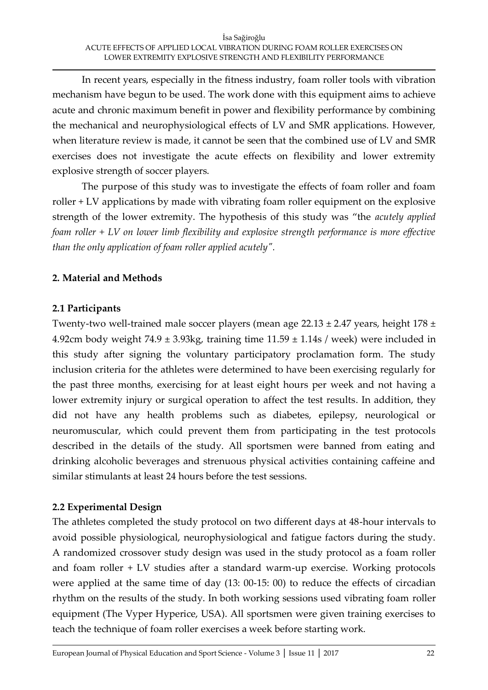In recent years, especially in the fitness industry, foam roller tools with vibration mechanism have begun to be used. The work done with this equipment aims to achieve acute and chronic maximum benefit in power and flexibility performance by combining the mechanical and neurophysiological effects of LV and SMR applications. However, when literature review is made, it cannot be seen that the combined use of LV and SMR exercises does not investigate the acute effects on flexibility and lower extremity explosive strength of soccer players.

The purpose of this study was to investigate the effects of foam roller and foam roller + LV applications by made with vibrating foam roller equipment on the explosive strength of the lower extremity. The hypothesis of this study was "the *acutely applied foam roller + LV on lower limb flexibility and explosive strength performance is more effective than the only application of foam roller applied acutely".*

## **2. Material and Methods**

### **2.1 Participants**

Twenty-two well-trained male soccer players (mean age  $22.13 \pm 2.47$  years, height  $178 \pm$ 4.92cm body weight  $74.9 \pm 3.93$ kg, training time  $11.59 \pm 1.14$ s / week) were included in this study after signing the voluntary participatory proclamation form. The study inclusion criteria for the athletes were determined to have been exercising regularly for the past three months, exercising for at least eight hours per week and not having a lower extremity injury or surgical operation to affect the test results. In addition, they did not have any health problems such as diabetes, epilepsy, neurological or neuromuscular, which could prevent them from participating in the test protocols described in the details of the study. All sportsmen were banned from eating and drinking alcoholic beverages and strenuous physical activities containing caffeine and similar stimulants at least 24 hours before the test sessions.

# **2.2 Experimental Design**

The athletes completed the study protocol on two different days at 48-hour intervals to avoid possible physiological, neurophysiological and fatigue factors during the study. A randomized crossover study design was used in the study protocol as a foam roller and foam roller + LV studies after a standard warm-up exercise. Working protocols were applied at the same time of day (13: 00-15: 00) to reduce the effects of circadian rhythm on the results of the study. In both working sessions used vibrating foam roller equipment (The Vyper Hyperice, USA). All sportsmen were given training exercises to teach the technique of foam roller exercises a week before starting work.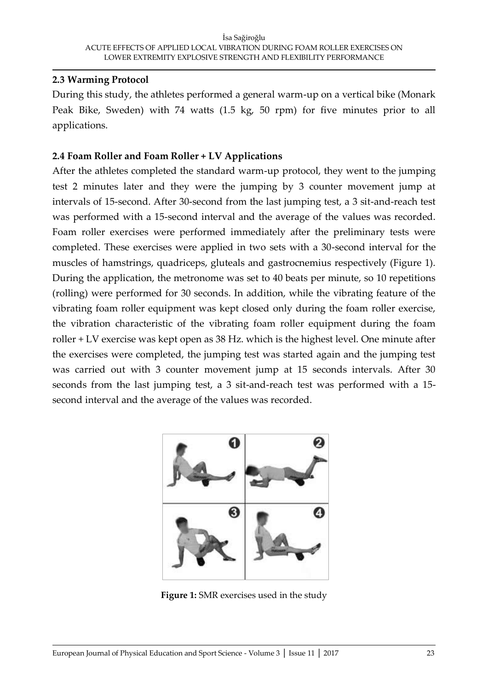#### **2.3 Warming Protocol**

During this study, the athletes performed a general warm-up on a vertical bike (Monark Peak Bike, Sweden) with 74 watts (1.5 kg, 50 rpm) for five minutes prior to all applications.

### **2.4 Foam Roller and Foam Roller + LV Applications**

After the athletes completed the standard warm-up protocol, they went to the jumping test 2 minutes later and they were the jumping by 3 counter movement jump at intervals of 15-second. After 30-second from the last jumping test, a 3 sit-and-reach test was performed with a 15-second interval and the average of the values was recorded. Foam roller exercises were performed immediately after the preliminary tests were completed. These exercises were applied in two sets with a 30-second interval for the muscles of hamstrings, quadriceps, gluteals and gastrocnemius respectively (Figure 1). During the application, the metronome was set to 40 beats per minute, so 10 repetitions (rolling) were performed for 30 seconds. In addition, while the vibrating feature of the vibrating foam roller equipment was kept closed only during the foam roller exercise, the vibration characteristic of the vibrating foam roller equipment during the foam roller + LV exercise was kept open as 38 Hz. which is the highest level. One minute after the exercises were completed, the jumping test was started again and the jumping test was carried out with 3 counter movement jump at 15 seconds intervals. After 30 seconds from the last jumping test, a 3 sit-and-reach test was performed with a 15 second interval and the average of the values was recorded.



**Figure 1:** SMR exercises used in the study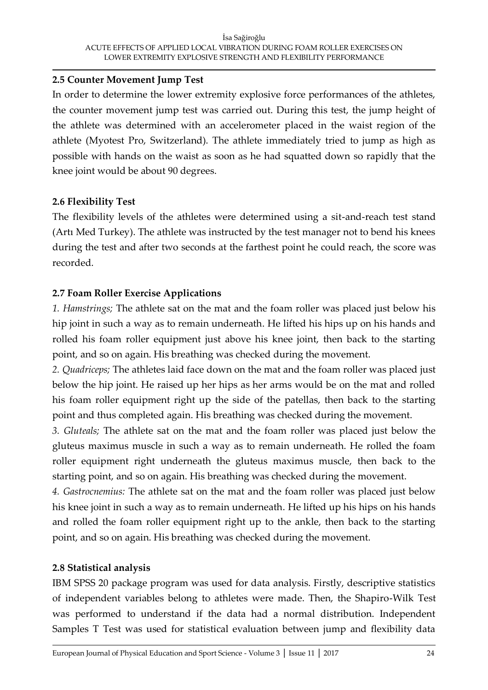#### **2.5 Counter Movement Jump Test**

In order to determine the lower extremity explosive force performances of the athletes, the counter movement jump test was carried out. During this test, the jump height of the athlete was determined with an accelerometer placed in the waist region of the athlete (Myotest Pro, Switzerland). The athlete immediately tried to jump as high as possible with hands on the waist as soon as he had squatted down so rapidly that the knee joint would be about 90 degrees.

### **2.6 Flexibility Test**

The flexibility levels of the athletes were determined using a sit-and-reach test stand (Artı Med Turkey). The athlete was instructed by the test manager not to bend his knees during the test and after two seconds at the farthest point he could reach, the score was recorded.

### **2.7 Foam Roller Exercise Applications**

*1. Hamstrings;* The athlete sat on the mat and the foam roller was placed just below his hip joint in such a way as to remain underneath. He lifted his hips up on his hands and rolled his foam roller equipment just above his knee joint, then back to the starting point, and so on again. His breathing was checked during the movement.

*2. Quadriceps;* The athletes laid face down on the mat and the foam roller was placed just below the hip joint. He raised up her hips as her arms would be on the mat and rolled his foam roller equipment right up the side of the patellas, then back to the starting point and thus completed again. His breathing was checked during the movement.

*3. Gluteals;* The athlete sat on the mat and the foam roller was placed just below the gluteus maximus muscle in such a way as to remain underneath. He rolled the foam roller equipment right underneath the gluteus maximus muscle, then back to the starting point, and so on again. His breathing was checked during the movement.

*4. Gastrocnemius:* The athlete sat on the mat and the foam roller was placed just below his knee joint in such a way as to remain underneath. He lifted up his hips on his hands and rolled the foam roller equipment right up to the ankle, then back to the starting point, and so on again. His breathing was checked during the movement.

### **2.8 Statistical analysis**

IBM SPSS 20 package program was used for data analysis. Firstly, descriptive statistics of independent variables belong to athletes were made. Then, the Shapiro-Wilk Test was performed to understand if the data had a normal distribution. Independent Samples T Test was used for statistical evaluation between jump and flexibility data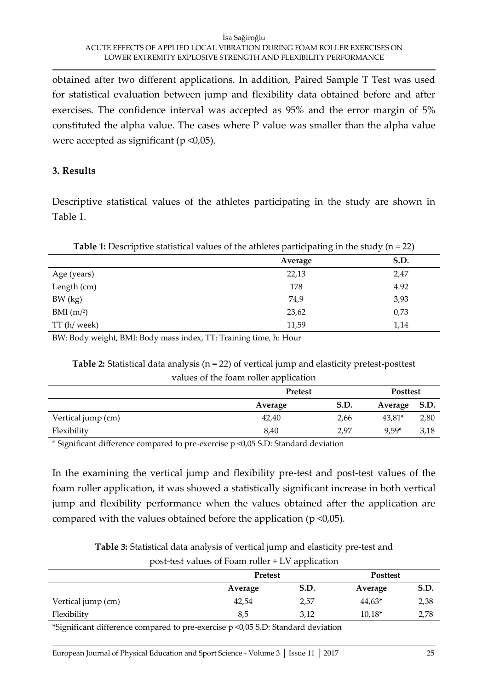obtained after two different applications. In addition, Paired Sample T Test was used for statistical evaluation between jump and flexibility data obtained before and after exercises. The confidence interval was accepted as 95% and the error margin of 5% constituted the alpha value. The cases where P value was smaller than the alpha value were accepted as significant ( $p \le 0.05$ ).

#### **3. Results**

Descriptive statistical values of the athletes participating in the study are shown in Table 1.

**Table 1:** Descriptive statistical values of the athletes participating in the study  $(n = 22)$ 

|              | Average | S.D. |
|--------------|---------|------|
| Age (years)  | 22,13   | 2,47 |
| Length (cm)  | 178     | 4.92 |
| BW (kg)      | 74,9    | 3,93 |
| BMI(m/2)     | 23,62   | 0,73 |
| TT (h/ week) | 11,59   | 1,14 |

BW: Body weight, BMI: Body mass index, TT: Training time, h: Hour

**Table 2:** Statistical data analysis (n = 22) of vertical jump and elasticity pretest-posttest values of the foam roller application

|                    | <b>Pretest</b> |      | <b>Posttest</b> |             |
|--------------------|----------------|------|-----------------|-------------|
|                    | Average        | S.D. | Average         | <b>S.D.</b> |
| Vertical jump (cm) | 42,40          | 2,66 | $43,81*$        | 2,80        |
| Flexibility        | 8,40           | 2,97 | $9,59*$         | 3,18        |

\* Significant difference compared to pre-exercise p <0,05 S.D: Standard deviation

In the examining the vertical jump and flexibility pre-test and post-test values of the foam roller application, it was showed a statistically significant increase in both vertical jump and flexibility performance when the values obtained after the application are compared with the values obtained before the application ( $p \le 0.05$ ).

**Table 3:** Statistical data analysis of vertical jump and elasticity pre-test and post-test values of Foam roller + LV application

|                    | <b>Pretest</b> |      | <b>Posttest</b> |      |
|--------------------|----------------|------|-----------------|------|
|                    | Average        | S.D. | Average         | S.D. |
| Vertical jump (cm) | 42,54          | 2,57 | $44,63*$        | 2,38 |
| Flexibility        | 8,5            | 3,12 | $10,18*$        | 2,78 |
|                    |                |      |                 |      |

\*Significant difference compared to pre-exercise p <0,05 S.D: Standard deviation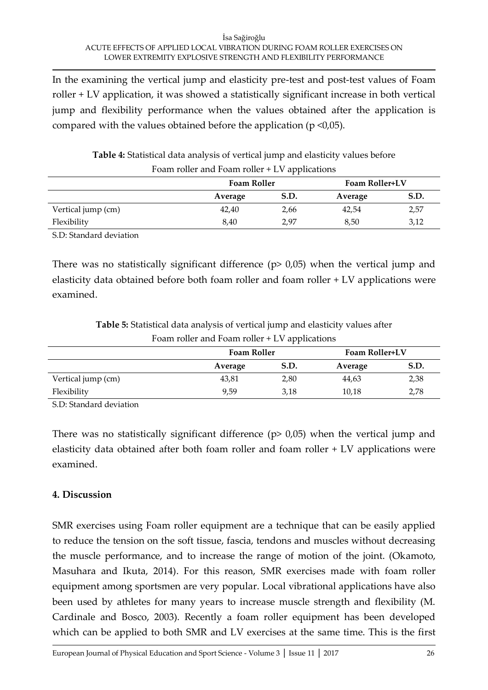In the examining the vertical jump and elasticity pre-test and post-test values of Foam roller + LV application, it was showed a statistically significant increase in both vertical jump and flexibility performance when the values obtained after the application is compared with the values obtained before the application ( $p \le 0.05$ ).

| Foam roller and Foam roller + LV applications |         |                    |         |                       |  |
|-----------------------------------------------|---------|--------------------|---------|-----------------------|--|
|                                               |         | <b>Foam Roller</b> |         | <b>Foam Roller+LV</b> |  |
|                                               | Average | S.D.               | Average | S.D.                  |  |
| Vertical jump (cm)                            | 42.40   | 2,66               | 42,54   | 2,57                  |  |
| Flexibility                                   | 8.40    | 2.97               | 8,50    | 3,12                  |  |
|                                               |         |                    |         |                       |  |

**Table 4:** Statistical data analysis of vertical jump and elasticity values before

S.D: Standard deviation

There was no statistically significant difference  $(p > 0.05)$  when the vertical jump and elasticity data obtained before both foam roller and foam roller + LV applications were examined.

**Table 5:** Statistical data analysis of vertical jump and elasticity values after Foam roller and Foam roller + LV applications

|                    |         | <b>Foam Roller</b> |         | <b>Foam Roller+LV</b> |
|--------------------|---------|--------------------|---------|-----------------------|
|                    | Average | S.D.               | Average | S.D.                  |
| Vertical jump (cm) | 43,81   | 2,80               | 44,63   | 2,38                  |
| Flexibility        | 9.59    | 3,18               | 10,18   | 2,78                  |
|                    |         |                    |         |                       |

S.D: Standard deviation

There was no statistically significant difference  $(p> 0.05)$  when the vertical jump and elasticity data obtained after both foam roller and foam roller + LV applications were examined.

# **4. Discussion**

SMR exercises using Foam roller equipment are a technique that can be easily applied to reduce the tension on the soft tissue, fascia, tendons and muscles without decreasing the muscle performance, and to increase the range of motion of the joint. (Okamoto, Masuhara and Ikuta, 2014). For this reason, SMR exercises made with foam roller equipment among sportsmen are very popular. Local vibrational applications have also been used by athletes for many years to increase muscle strength and flexibility (M. Cardinale and Bosco, 2003). Recently a foam roller equipment has been developed which can be applied to both SMR and LV exercises at the same time. This is the first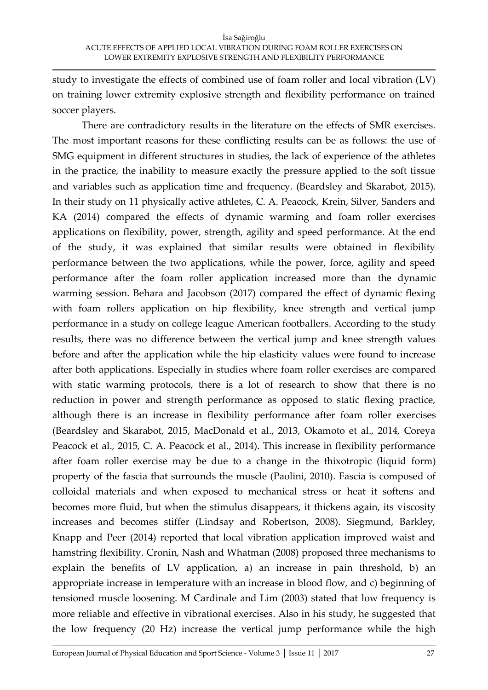study to investigate the effects of combined use of foam roller and local vibration (LV) on training lower extremity explosive strength and flexibility performance on trained soccer players.

There are contradictory results in the literature on the effects of SMR exercises. The most important reasons for these conflicting results can be as follows: the use of SMG equipment in different structures in studies, the lack of experience of the athletes in the practice, the inability to measure exactly the pressure applied to the soft tissue and variables such as application time and frequency. (Beardsley and Skarabot, 2015). In their study on 11 physically active athletes, C. A. Peacock, Krein, Silver, Sanders and KA (2014) compared the effects of dynamic warming and foam roller exercises applications on flexibility, power, strength, agility and speed performance. At the end of the study, it was explained that similar results were obtained in flexibility performance between the two applications, while the power, force, agility and speed performance after the foam roller application increased more than the dynamic warming session. Behara and Jacobson (2017) compared the effect of dynamic flexing with foam rollers application on hip flexibility, knee strength and vertical jump performance in a study on college league American footballers. According to the study results, there was no difference between the vertical jump and knee strength values before and after the application while the hip elasticity values were found to increase after both applications. Especially in studies where foam roller exercises are compared with static warming protocols, there is a lot of research to show that there is no reduction in power and strength performance as opposed to static flexing practice, although there is an increase in flexibility performance after foam roller exercises (Beardsley and Skarabot, 2015, MacDonald et al., 2013, Okamoto et al., 2014, Coreya Peacock et al., 2015, C. A. Peacock et al., 2014). This increase in flexibility performance after foam roller exercise may be due to a change in the thixotropic (liquid form) property of the fascia that surrounds the muscle (Paolini, 2010). Fascia is composed of colloidal materials and when exposed to mechanical stress or heat it softens and becomes more fluid, but when the stimulus disappears, it thickens again, its viscosity increases and becomes stiffer (Lindsay and Robertson, 2008). Siegmund, Barkley, Knapp and Peer (2014) reported that local vibration application improved waist and hamstring flexibility. Cronin, Nash and Whatman (2008) proposed three mechanisms to explain the benefits of LV application, a) an increase in pain threshold, b) an appropriate increase in temperature with an increase in blood flow, and c) beginning of tensioned muscle loosening. M Cardinale and Lim (2003) stated that low frequency is more reliable and effective in vibrational exercises. Also in his study, he suggested that the low frequency (20 Hz) increase the vertical jump performance while the high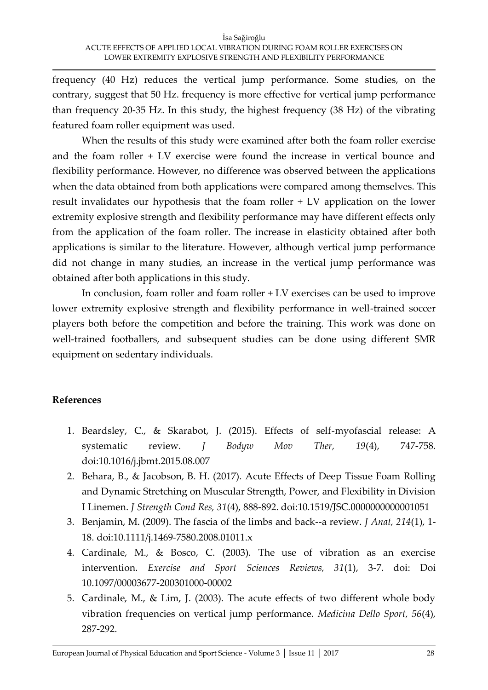frequency (40 Hz) reduces the vertical jump performance. Some studies, on the contrary, suggest that 50 Hz. frequency is more effective for vertical jump performance than frequency 20-35 Hz. In this study, the highest frequency (38 Hz) of the vibrating featured foam roller equipment was used.

When the results of this study were examined after both the foam roller exercise and the foam roller + LV exercise were found the increase in vertical bounce and flexibility performance. However, no difference was observed between the applications when the data obtained from both applications were compared among themselves. This result invalidates our hypothesis that the foam roller + LV application on the lower extremity explosive strength and flexibility performance may have different effects only from the application of the foam roller. The increase in elasticity obtained after both applications is similar to the literature. However, although vertical jump performance did not change in many studies, an increase in the vertical jump performance was obtained after both applications in this study.

In conclusion, foam roller and foam roller + LV exercises can be used to improve lower extremity explosive strength and flexibility performance in well-trained soccer players both before the competition and before the training. This work was done on well-trained footballers, and subsequent studies can be done using different SMR equipment on sedentary individuals.

# **References**

- 1. Beardsley, C., & Skarabot, J. (2015). Effects of self-myofascial release: A systematic review. *J Bodyw Mov Ther, 19*(4), 747-758. doi:10.1016/j.jbmt.2015.08.007
- 2. Behara, B., & Jacobson, B. H. (2017). Acute Effects of Deep Tissue Foam Rolling and Dynamic Stretching on Muscular Strength, Power, and Flexibility in Division I Linemen. *J Strength Cond Res, 31*(4), 888-892. doi:10.1519/JSC.0000000000001051
- 3. Benjamin, M. (2009). The fascia of the limbs and back--a review. *J Anat, 214*(1), 1- 18. doi:10.1111/j.1469-7580.2008.01011.x
- 4. Cardinale, M., & Bosco, C. (2003). The use of vibration as an exercise intervention. *Exercise and Sport Sciences Reviews, 31*(1), 3-7. doi: Doi 10.1097/00003677-200301000-00002
- 5. Cardinale, M., & Lim, J. (2003). The acute effects of two different whole body vibration frequencies on vertical jump performance. *Medicina Dello Sport, 56*(4), 287-292.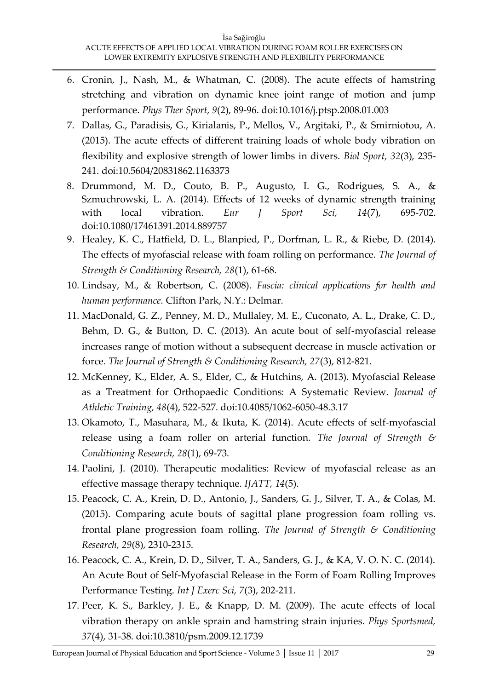- 6. Cronin, J., Nash, M., & Whatman, C. (2008). The acute effects of hamstring stretching and vibration on dynamic knee joint range of motion and jump performance. *Phys Ther Sport, 9*(2), 89-96. doi:10.1016/j.ptsp.2008.01.003
- 7. Dallas, G., Paradisis, G., Kirialanis, P., Mellos, V., Argitaki, P., & Smirniotou, A. (2015). The acute effects of different training loads of whole body vibration on flexibility and explosive strength of lower limbs in divers. *Biol Sport, 32*(3), 235- 241. doi:10.5604/20831862.1163373
- 8. Drummond, M. D., Couto, B. P., Augusto, I. G., Rodrigues, S. A., & Szmuchrowski, L. A. (2014). Effects of 12 weeks of dynamic strength training with local vibration. *Eur J Sport Sci, 14*(7), 695-702. doi:10.1080/17461391.2014.889757
- 9. Healey, K. C., Hatfield, D. L., Blanpied, P., Dorfman, L. R., & Riebe, D. (2014). The effects of myofascial release with foam rolling on performance. *The Journal of Strength & Conditioning Research, 28*(1), 61-68.
- 10. Lindsay, M., & Robertson, C. (2008). *Fascia: clinical applications for health and human performance*. Clifton Park, N.Y.: Delmar.
- 11. MacDonald, G. Z., Penney, M. D., Mullaley, M. E., Cuconato, A. L., Drake, C. D., Behm, D. G., & Button, D. C. (2013). An acute bout of self-myofascial release increases range of motion without a subsequent decrease in muscle activation or force. *The Journal of Strength & Conditioning Research, 27*(3), 812-821.
- 12. McKenney, K., Elder, A. S., Elder, C., & Hutchins, A. (2013). Myofascial Release as a Treatment for Orthopaedic Conditions: A Systematic Review. *Journal of Athletic Training, 48*(4), 522-527. doi:10.4085/1062-6050-48.3.17
- 13. Okamoto, T., Masuhara, M., & Ikuta, K. (2014). Acute effects of self-myofascial release using a foam roller on arterial function. *The Journal of Strength & Conditioning Research, 28*(1), 69-73.
- 14. Paolini, J. (2010). Therapeutic modalities: Review of myofascial release as an effective massage therapy technique. *IJATT, 14*(5).
- 15. Peacock, C. A., Krein, D. D., Antonio, J., Sanders, G. J., Silver, T. A., & Colas, M. (2015). Comparing acute bouts of sagittal plane progression foam rolling vs. frontal plane progression foam rolling. *The Journal of Strength & Conditioning Research, 29*(8), 2310-2315.
- 16. Peacock, C. A., Krein, D. D., Silver, T. A., Sanders, G. J., & KA, V. O. N. C. (2014). An Acute Bout of Self-Myofascial Release in the Form of Foam Rolling Improves Performance Testing. *Int J Exerc Sci, 7*(3), 202-211.
- 17. Peer, K. S., Barkley, J. E., & Knapp, D. M. (2009). The acute effects of local vibration therapy on ankle sprain and hamstring strain injuries. *Phys Sportsmed, 37*(4), 31-38. doi:10.3810/psm.2009.12.1739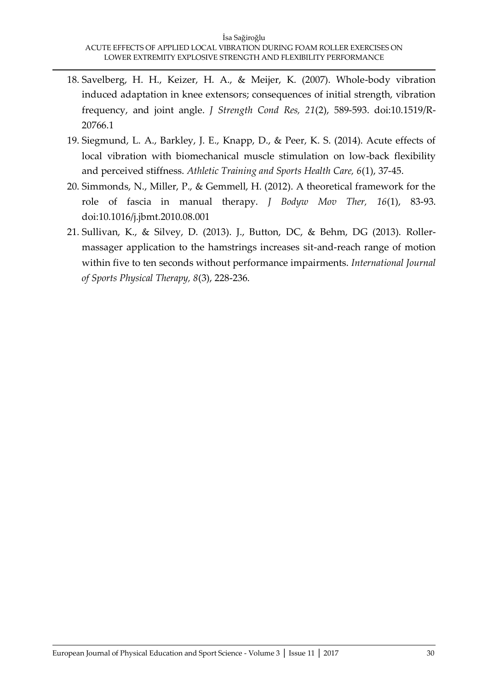- 18. Savelberg, H. H., Keizer, H. A., & Meijer, K. (2007). Whole-body vibration induced adaptation in knee extensors; consequences of initial strength, vibration frequency, and joint angle. *J Strength Cond Res, 21*(2), 589-593. doi:10.1519/R-20766.1
- 19. Siegmund, L. A., Barkley, J. E., Knapp, D., & Peer, K. S. (2014). Acute effects of local vibration with biomechanical muscle stimulation on low-back flexibility and perceived stiffness. *Athletic Training and Sports Health Care, 6*(1), 37-45.
- 20. Simmonds, N., Miller, P., & Gemmell, H. (2012). A theoretical framework for the role of fascia in manual therapy. *J Bodyw Mov Ther, 16*(1), 83-93. doi:10.1016/j.jbmt.2010.08.001
- 21. Sullivan, K., & Silvey, D. (2013). J., Button, DC, & Behm, DG (2013). Rollermassager application to the hamstrings increases sit-and-reach range of motion within five to ten seconds without performance impairments. *International Journal of Sports Physical Therapy, 8*(3), 228-236.